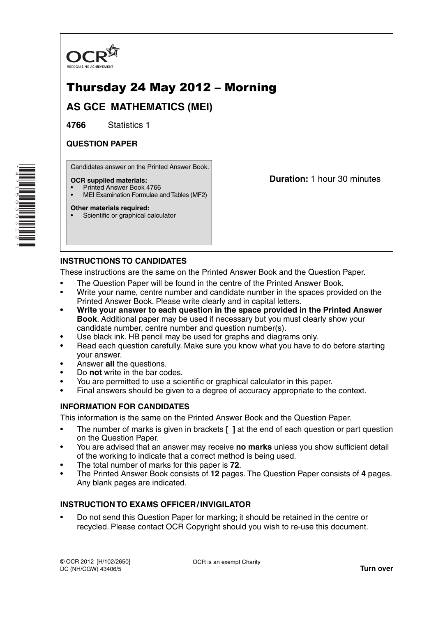

# Thursday 24 May 2012 – Morning

**AS GCE MATHEMATICS (MEI)**

**4766** Statistics 1

## **QUESTION PAPER**

Candidates answer on the Printed Answer Book.

### **OCR supplied materials:**

- Printed Answer Book 4766
- MEI Examination Formulae and Tables (MF2)

### **Other materials required:**

Scientific or graphical calculator

**Duration:** 1 hour 30 minutes

## **INSTRUCTIONS TO CANDIDATES**

These instructions are the same on the Printed Answer Book and the Question Paper.

- The Question Paper will be found in the centre of the Printed Answer Book.
- Write your name, centre number and candidate number in the spaces provided on the Printed Answer Book. Please write clearly and in capital letters.
- **Write your answer to each question in the space provided in the Printed Answer Book**. Additional paper may be used if necessary but you must clearly show your candidate number, centre number and question number(s).
- Use black ink. HB pencil may be used for graphs and diagrams only.
- Read each question carefully. Make sure you know what you have to do before starting your answer.
- Answer **all** the questions.
- Do **not** write in the bar codes.
- You are permitted to use a scientific or graphical calculator in this paper.
- Final answers should be given to a degree of accuracy appropriate to the context.

## **INFORMATION FOR CANDIDATES**

This information is the same on the Printed Answer Book and the Question Paper.

- The number of marks is given in brackets **[ ]** at the end of each question or part question on the Question Paper.
- You are advised that an answer may receive **no marks** unless you show sufficient detail of the working to indicate that a correct method is being used.
- The total number of marks for this paper is **72**.
- The Printed Answer Book consists of **12** pages. The Question Paper consists of **4** pages. Any blank pages are indicated.

## **INSTRUCTION TO EXAMS OFFICER / INVIGILATOR**

• Do not send this Question Paper for marking; it should be retained in the centre or recycled. Please contact OCR Copyright should you wish to re-use this document.

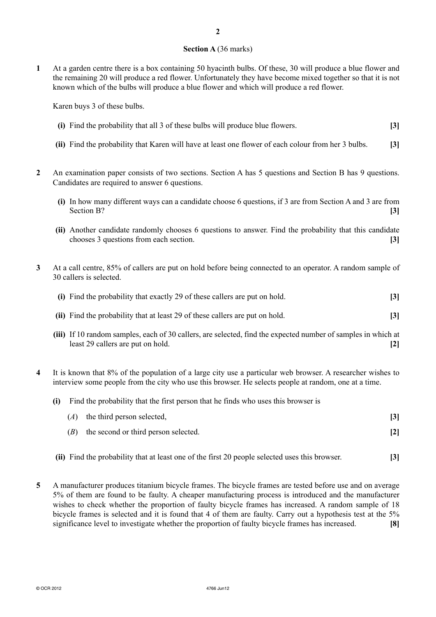### **Section A** (36 marks)

**1** At a garden centre there is a box containing 50 hyacinth bulbs. Of these, 30 will produce a blue flower and the remaining 20 will produce a red flower. Unfortunately they have become mixed together so that it is not known which of the bulbs will produce a blue flower and which will produce a red flower.

Karen buys 3 of these bulbs.

- **(i)** Find the probability that all 3 of these bulbs will produce blue flowers. **[3]**
- **(ii)** Find the probability that Karen will have at least one flower of each colour from her 3 bulbs. **[3]**
- **2** An examination paper consists of two sections. Section A has 5 questions and Section B has 9 questions. Candidates are required to answer 6 questions.
	- **(i)** In how many different ways can a candidate choose 6 questions, if 3 are from Section A and 3 are from Section B? **[3]**
	- **(ii)** Another candidate randomly chooses 6 questions to answer. Find the probability that this candidate chooses 3 questions from each section. **[3]**
- **3** At a call centre, 85% of callers are put on hold before being connected to an operator. A random sample of 30 callers is selected.

| (i) Find the probability that exactly 29 of these callers are put on hold.   |                   |
|------------------------------------------------------------------------------|-------------------|
| (ii) Find the probability that at least 29 of these callers are put on hold. | $\lceil 3 \rceil$ |

- **(iii)** If 10 random samples, each of 30 callers, are selected, find the expected number of samples in which at least 29 callers are put on hold. **[2]**
- **4** It is known that 8% of the population of a large city use a particular web browser. A researcher wishes to interview some people from the city who use this browser. He selects people at random, one at a time.
	- **(i)** Find the probability that the first person that he finds who uses this browser is

|     | $(A)$ the third person selected,     |                |
|-----|--------------------------------------|----------------|
| (B) | the second or third person selected. | $\mathbf{[2]}$ |

- **(ii)** Find the probability that at least one of the first 20 people selected uses this browser. **[3]**
- **5** A manufacturer produces titanium bicycle frames. The bicycle frames are tested before use and on average 5% of them are found to be faulty. A cheaper manufacturing process is introduced and the manufacturer wishes to check whether the proportion of faulty bicycle frames has increased. A random sample of 18 bicycle frames is selected and it is found that 4 of them are faulty. Carry out a hypothesis test at the 5% significance level to investigate whether the proportion of faulty bicycle frames has increased. **[8]**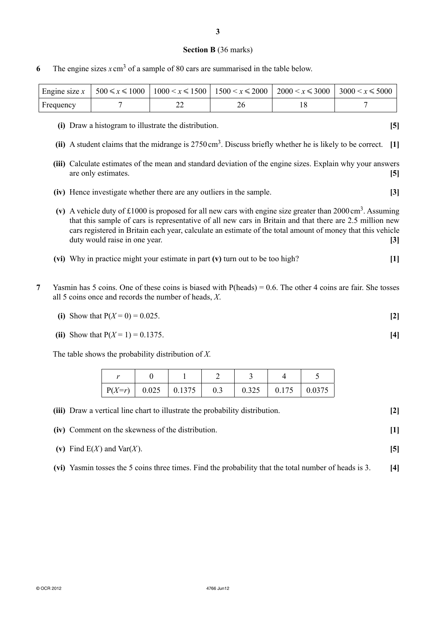#### **Section B** (36 marks)

**6** The engine sizes  $x \text{ cm}^3$  of a sample of 80 cars are summarised in the table below.

|           |  | Engine size $x$   500 $\le x \le 1000$   1000 $\le x \le 1500$   1500 $\le x \le 2000$   2000 $\le x \le 3000$   3000 $\le x \le 5000$ |  |
|-----------|--|----------------------------------------------------------------------------------------------------------------------------------------|--|
| Frequency |  |                                                                                                                                        |  |

- **(i)** Draw a histogram to illustrate the distribution. **[5]**
- **(ii)** A student claims that the midrange is 2750 cm3. Discuss briefly whether he is likely to be correct. **[1]**
- **(iii)** Calculate estimates of the mean and standard deviation of the engine sizes. Explain why your answers are only estimates. **[5]**
- **(iv)** Hence investigate whether there are any outliers in the sample. **[3]**
- **(v)** A vehicle duty of £1000 is proposed for all new cars with engine size greater than 2000 cm3. Assuming that this sample of cars is representative of all new cars in Britain and that there are 2.5 million new cars registered in Britain each year, calculate an estimate of the total amount of money that this vehicle duty would raise in one year. **[3]**
- **(vi)** Why in practice might your estimate in part **(v)** turn out to be too high? **[1]**
- **7** Yasmin has 5 coins. One of these coins is biased with P(heads) = 0.6. The other 4 coins are fair. She tosses all 5 coins once and records the number of heads, *X*.

**(ii)** Show that  $P(X = 1) = 0.1375$ . [4]

The table shows the probability distribution of *X.*

| $P(X=r)$ 0.025 0.1375 | 0.3 | 0.325 | 0.175 | 0.0375 |
|-----------------------|-----|-------|-------|--------|

| (iii) Draw a vertical line chart to illustrate the probability distribution. | $\mathbf{[2]}$ |
|------------------------------------------------------------------------------|----------------|
|                                                                              |                |

 **(iv)** Comment on the skewness of the distribution. **[1]**

- **(v)** Find E(*X* ) and Var(*X* ). **[5]**
- **(vi)** Yasmin tosses the 5 coins three times. Find the probability that the total number of heads is 3. **[4]**